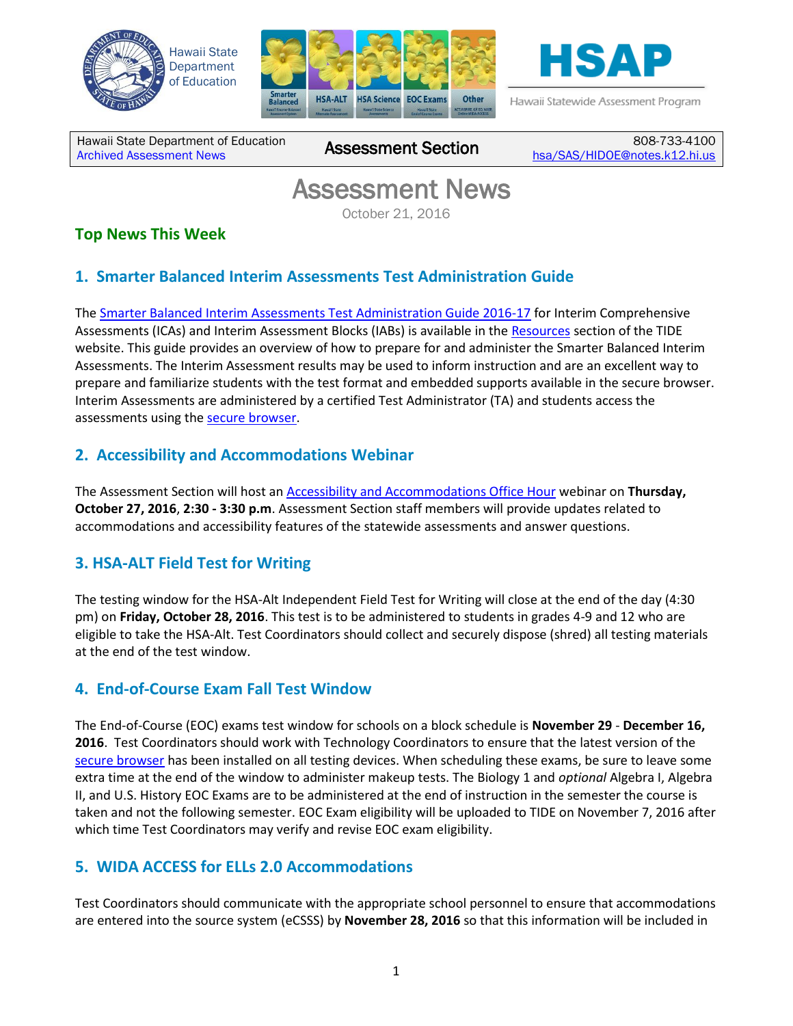





Hawaii Statewide Assessment Program

Hawaii State Department of Education nawall State Department of Equivalities Assessment Section

808-733-4100 [hsa/SAS/HIDOE@notes.k12.hi.us](mailto:hsa/SAS/HIDOE@notes.k12.hi.us)

# Assessment News

October 21, 2016

# **Top News This Week**

## **1. Smarter Balanced Interim Assessments Test Administration Guide**

The [Smarter Balanced Interim Assessments Test Administration Guide 2016-17](http://alohahsap.org/SMARTERBALANCED/wp-content/uploads/Interim-Assessments-TAG_16-17.pdf) for Interim Comprehensive Assessments (ICAs) and Interim Assessment Blocks (IABs) is available in the [Resources](http://alohahsap.org/SMARTERBALANCED/resources/) section of the TIDE website. This guide provides an overview of how to prepare for and administer the Smarter Balanced Interim Assessments. The Interim Assessment results may be used to inform instruction and are an excellent way to prepare and familiarize students with the test format and embedded supports available in the secure browser. Interim Assessments are administered by a certified Test Administrator (TA) and students access the assessments using the [secure browser.](http://alohahsap.org/HSA/browsers/)

## **2. Accessibility and Accommodations Webinar**

The Assessment Section will host an [Accessibility and Accommodations Office Hour](https://hvln.webex.com/mw3100/mywebex/default.do?service=1&siteurl=hvln&nomenu=true&main_url=%2Fmc3100%2Fe.do%3Fsiteurl%3Dhvln%26AT%3DMI%26EventID%3D513472987%26UID%3D4741189012%26Host%3DQUhTSwAAAAImrDC4Ejm8qE2MSPC-CWqu6ZGC89XsVjgd2Fe1IHRROF4veciGwwZLcmCfJ-CpKn-3yNVOZ868gRtJJbdOrWo90%26FrameSet%3D2%26MTID%3Dm5e849cf7af42ef2840d6112e7dbc2507) webinar on **Thursday, October 27, 2016**, **2:30 - 3:30 p.m**. Assessment Section staff members will provide updates related to accommodations and accessibility features of the statewide assessments and answer questions.

## **3. HSA-ALT Field Test for Writing**

The testing window for the HSA-Alt Independent Field Test for Writing will close at the end of the day (4:30 pm) on **Friday, October 28, 2016**. This test is to be administered to students in grades 4-9 and 12 who are eligible to take the HSA-Alt. Test Coordinators should collect and securely dispose (shred) all testing materials at the end of the test window.

## **4. End-of-Course Exam Fall Test Window**

The End-of-Course (EOC) exams test window for schools on a block schedule is **November 29** - **December 16, 2016**. Test Coordinators should work with Technology Coordinators to ensure that the latest version of the [secure browser](http://alohahsap.org/HSA/browsers/) has been installed on all testing devices. When scheduling these exams, be sure to leave some extra time at the end of the window to administer makeup tests. The Biology 1 and *optional* Algebra I, Algebra II, and U.S. History EOC Exams are to be administered at the end of instruction in the semester the course is taken and not the following semester. EOC Exam eligibility will be uploaded to TIDE on November 7, 2016 after which time Test Coordinators may verify and revise EOC exam eligibility.

## **5. WIDA ACCESS for ELLs 2.0 Accommodations**

Test Coordinators should communicate with the appropriate school personnel to ensure that accommodations are entered into the source system (eCSSS) by **November 28, 2016** so that this information will be included in